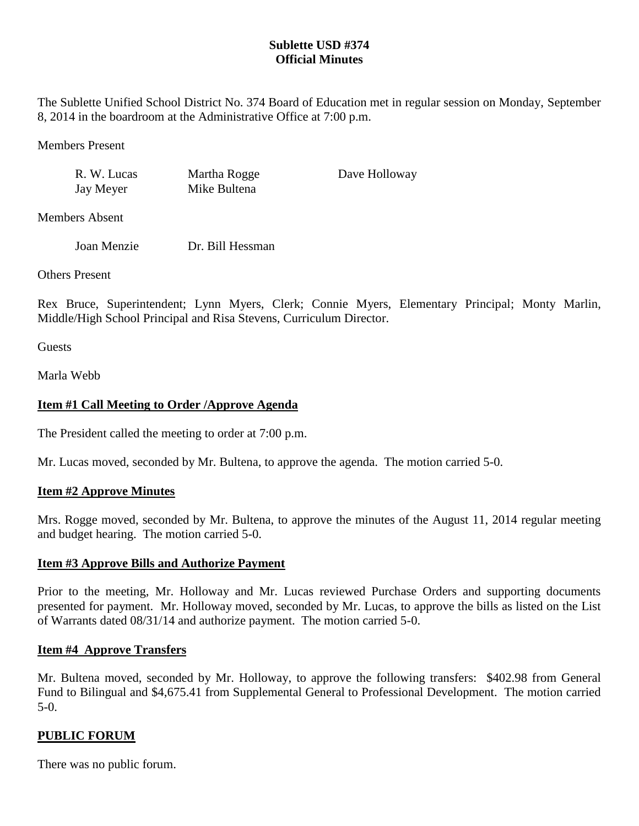## **Sublette USD #374 Official Minutes**

The Sublette Unified School District No. 374 Board of Education met in regular session on Monday, September 8, 2014 in the boardroom at the Administrative Office at 7:00 p.m.

Members Present

R. W. Lucas Martha Rogge Dave Holloway Jay Meyer Mike Bultena

Members Absent

Joan Menzie Dr. Bill Hessman

Others Present

Rex Bruce, Superintendent; Lynn Myers, Clerk; Connie Myers, Elementary Principal; Monty Marlin, Middle/High School Principal and Risa Stevens, Curriculum Director.

**Guests** 

Marla Webb

# **Item #1 Call Meeting to Order /Approve Agenda**

The President called the meeting to order at 7:00 p.m.

Mr. Lucas moved, seconded by Mr. Bultena, to approve the agenda. The motion carried 5-0.

## **Item #2 Approve Minutes**

Mrs. Rogge moved, seconded by Mr. Bultena, to approve the minutes of the August 11, 2014 regular meeting and budget hearing. The motion carried 5-0.

## **Item #3 Approve Bills and Authorize Payment**

Prior to the meeting, Mr. Holloway and Mr. Lucas reviewed Purchase Orders and supporting documents presented for payment. Mr. Holloway moved, seconded by Mr. Lucas, to approve the bills as listed on the List of Warrants dated 08/31/14 and authorize payment. The motion carried 5-0.

## **Item #4 Approve Transfers**

Mr. Bultena moved, seconded by Mr. Holloway, to approve the following transfers: \$402.98 from General Fund to Bilingual and \$4,675.41 from Supplemental General to Professional Development. The motion carried 5-0.

## **PUBLIC FORUM**

There was no public forum.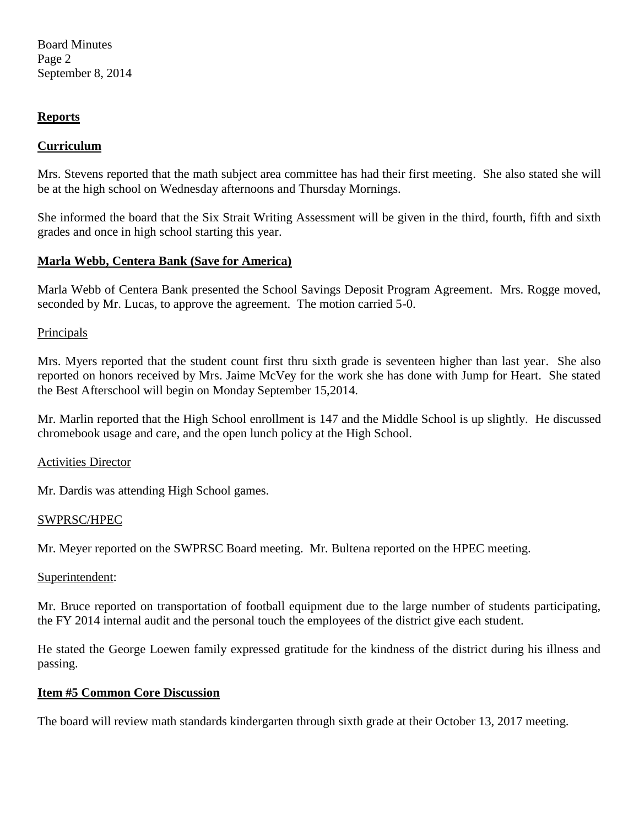Board Minutes Page 2 September 8, 2014

### **Reports**

### **Curriculum**

Mrs. Stevens reported that the math subject area committee has had their first meeting. She also stated she will be at the high school on Wednesday afternoons and Thursday Mornings.

She informed the board that the Six Strait Writing Assessment will be given in the third, fourth, fifth and sixth grades and once in high school starting this year.

### **Marla Webb, Centera Bank (Save for America)**

Marla Webb of Centera Bank presented the School Savings Deposit Program Agreement. Mrs. Rogge moved, seconded by Mr. Lucas, to approve the agreement. The motion carried 5-0.

#### Principals

Mrs. Myers reported that the student count first thru sixth grade is seventeen higher than last year. She also reported on honors received by Mrs. Jaime McVey for the work she has done with Jump for Heart. She stated the Best Afterschool will begin on Monday September 15,2014.

Mr. Marlin reported that the High School enrollment is 147 and the Middle School is up slightly. He discussed chromebook usage and care, and the open lunch policy at the High School.

#### Activities Director

Mr. Dardis was attending High School games.

#### SWPRSC/HPEC

Mr. Meyer reported on the SWPRSC Board meeting. Mr. Bultena reported on the HPEC meeting.

#### Superintendent:

Mr. Bruce reported on transportation of football equipment due to the large number of students participating, the FY 2014 internal audit and the personal touch the employees of the district give each student.

He stated the George Loewen family expressed gratitude for the kindness of the district during his illness and passing.

#### **Item #5 Common Core Discussion**

The board will review math standards kindergarten through sixth grade at their October 13, 2017 meeting.